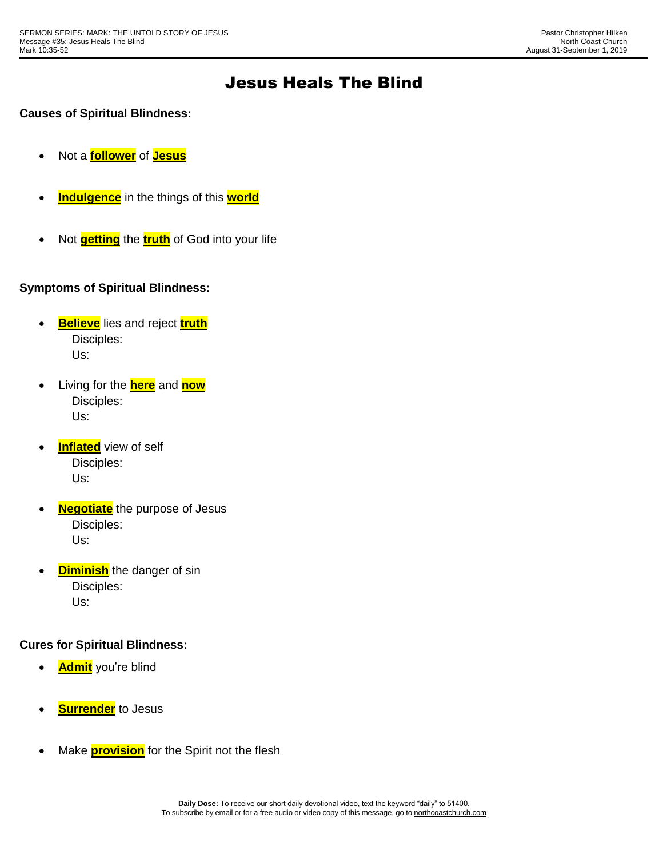## Jesus Heals The Blind

**Causes of Spiritual Blindness:**

- Not a **follower** of **Jesus**
- **Indulgence** in the things of this **world**
- Not **getting** the **truth** of God into your life

## **Symptoms of Spiritual Blindness:**

- **Believe** lies and reject **truth** Disciples: Us:
- Living for the **here** and **now** Disciples: Us:
- **Inflated** view of self Disciples: Us:
- **Negotiate** the purpose of Jesus Disciples: Us:
- **Diminish** the danger of sin Disciples: Us:

## **Cures for Spiritual Blindness:**

- **Admit** you're blind
- **• Surrender** to Jesus
- Make **provision** for the Spirit not the flesh